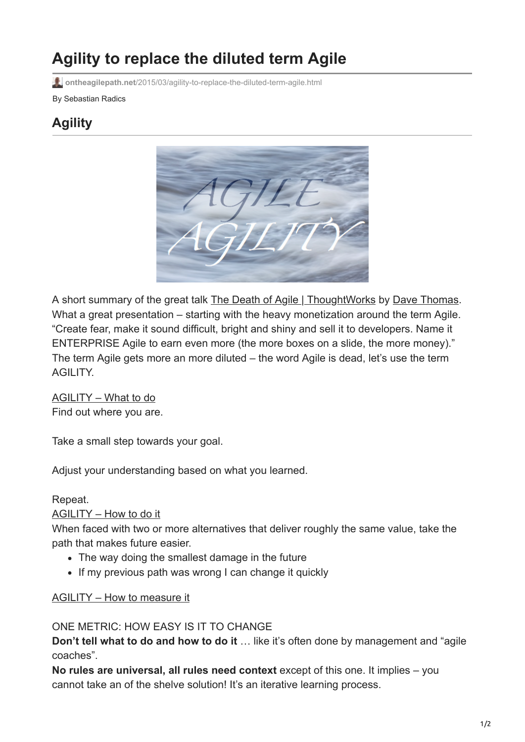# **Agility to replace the diluted term Agile**

**ontheagilepath.net**[/2015/03/agility-to-replace-the-diluted-term-agile.html](https://www.ontheagilepath.net/2015/03/agility-to-replace-the-diluted-term-agile.html)

#### By Sebastian Radics

## **Agility**



A short summary of the great talk [The Death of Agile | ThoughtWorks](http://www.thoughtworks.com/talks/the-death-of-agile) by [Dave Thomas](https://twitter.com/pragdave). What a great presentation – starting with the heavy monetization around the term Agile. "Create fear, make it sound difficult, bright and shiny and sell it to developers. Name it ENTERPRISE Agile to earn even more (the more boxes on a slide, the more money)." The term Agile gets more an more diluted – the word Agile is dead, let's use the term AGILITY.

AGILITY – What to do Find out where you are.

Take a small step towards your goal.

Adjust your understanding based on what you learned.

Repeat.

#### AGILITY – How to do it

When faced with two or more alternatives that deliver roughly the same value, take the path that makes future easier.

- The way doing the smallest damage in the future
- If my previous path was wrong I can change it quickly

#### AGILITY – How to measure it

#### ONE METRIC: HOW EASY IS IT TO CHANGE

**Don't tell what to do and how to do it** ... like it's often done by management and "agile" coaches".

**No rules are universal, all rules need context** except of this one. It implies – you cannot take an of the shelve solution! It's an iterative learning process.